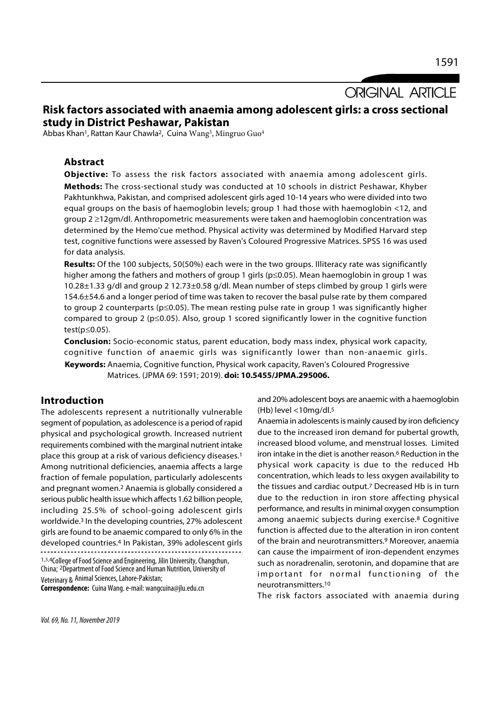ORIGINAL ARTICLE

# Risk factors associated with anaemia among adolescent girls: a cross sectional study in District Peshawar, Pakistan

Abbas Khan<sup>1</sup>, Rattan Kaur Chawla<sup>2</sup>, Cuina Wang<sup>3</sup>, Mingruo Guo<sup>4</sup>

# Abstract

Objective: To assess the risk factors associated with anaemia among adolescent girls. Methods: The cross-sectional study was conducted at 10 schools in district Peshawar, Khyber Pakhtunkhwa, Pakistan, and comprised adolescent girls aged 10-14 years who were divided into two equal groups on the basis of haemoglobin levels; group 1 had those with haemoglobin <12, and group  $2 \geq 12$ gm/dl. Anthropometric measurements were taken and haemoglobin concentration was determined by the Hemo'cue method. Physical activity was determined by Modified Harvard step test, cognitive functions were assessed by Raven's Coloured Progressive Matrices. SPSS 16 was used for data analysis.

Results: Of the 100 subjects, 50(50%) each were in the two groups. Illiteracy rate was significantly higher among the fathers and mothers of group 1 girls ( $p\leq 0.05$ ). Mean haemoglobin in group 1 was 10.28±1.33 g/dl and group 2 12.73±0.58 g/dl. Mean number of steps climbed by group 1 girls were 154.6±54.6 and a longer period of time was taken to recover the basal pulse rate by them compared to group 2 counterparts ( $p \le 0.05$ ). The mean resting pulse rate in group 1 was significantly higher compared to group 2 ( $p \le 0.05$ ). Also, group 1 scored significantly lower in the cognitive function test( $p \le 0.05$ ).

Conclusion: Socio-economic status, parent education, body mass index, physical work capacity, cognitive function of anaemic girls was significantly lower than non-anaemic girls. Keywords: Anaemia, Cognitive function, Physical work capacity, Raven's Coloured Progressive Matrices. (JPMA 69: 1591; 2019). doi: 10.5455/JPMA.295006.

# Introduction

The adolescents represent a nutritionally vulnerable segment of population, as adolescence is a period of rapid physical and psychological growth. Increased nutrient requirements combined with the marginal nutrient intake place this group at a risk of various deficiency diseases.1 Among nutritional deficiencies, anaemia affects a large fraction of female population, particularly adolescents and pregnant women.2 Anaemia is globally considered a serious public health issue which affects 1.62 billion people, including 25.5% of school-going adolescent girls worldwide.3 In the developing countries, 27% adolescent girls are found to be anaemic compared to only 6% in the developed countries.4 In Pakistan, 39% adolescent girls

1,3,<sup>4</sup>College of Food Science and Engineering, Jilin University, Changchun, China; <sup>2</sup>Department of Food Science and Human Nutrition, University of Veterinary & Animal Sciences, Lahore-Pakistan;

Correspondence: Cuina Wang. e-mail: wangcuina@jlu.edu.cn

and 20% adolescent boys are anaemic with a haemoglobin (Hb) level <10mg/dl.5

Anaemia in adolescents is mainly caused by iron deficiency due to the increased iron demand for pubertal growth, increased blood volume, and menstrual losses. Limited iron intake in the diet is another reason.<sup>6</sup> Reduction in the physical work capacity is due to the reduced Hb concentration, which leads to less oxygen availability to the tissues and cardiac output.7 Decreased Hb is in turn due to the reduction in iron store affecting physical performance, and results in minimal oxygen consumption among anaemic subjects during exercise.8 Cognitive function is affected due to the alteration in iron content of the brain and neurotransmitters.9 Moreover, anaemia can cause the impairment of iron-dependent enzymes such as noradrenalin, serotonin, and dopamine that are concentration, which leads to less oxygen availability to<br>the tissues and cardiac output.<sup>7</sup> Decreased Hb is in turn<br>due to the reduction in iron store affecting physical<br>performance, and results in minimal oxygen consumpt neurotransmitters.10

The risk factors associated with anaemia during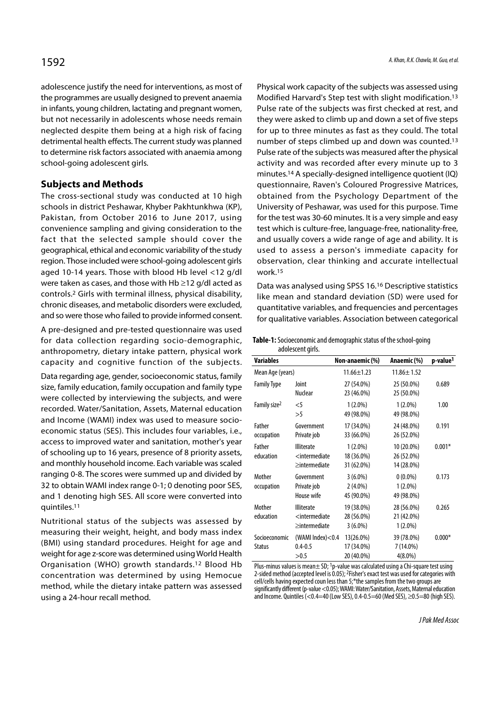adolescence justify the need for interventions, as most of the programmes are usually designed to prevent anaemia in infants, young children, lactating and pregnant women, but not necessarily in adolescents whose needs remain neglected despite them being at a high risk of facing detrimental health effects. The current study was planned to determine risk factors associated with anaemia among school-going adolescent girls.

## Subjects and Methods

The cross-sectional study was conducted at 10 high schools in district Peshawar, Khyber Pakhtunkhwa (KP), Pakistan, from October 2016 to June 2017, using convenience sampling and giving consideration to the fact that the selected sample should cover the geographical, ethical and economic variability of the study region. Those included were school-going adolescent girls aged 10-14 years. Those with blood Hb level <12 g/dl were taken as cases, and those with  $Hb \geq 12$  g/dl acted as controls.2 Girls with terminal illness, physical disability, chronic diseases, and metabolic disorders were excluded, and so were those who failed to provide informed consent.

A pre-designed and pre-tested questionnaire was used for data collection regarding socio-demographic, anthropometry, dietary intake pattern, physical work capacity and cognitive function of the subjects.

Data regarding age, gender, socioeconomic status, family size, family education, family occupation and family type were collected by interviewing the subjects, and were recorded. Water/Sanitation, Assets, Maternal education and Income (WAMI) index was used to measure socioeconomic status (SES). This includes four variables, i.e., access to improved water and sanitation, mother's year of schooling up to 16 years, presence of 8 priority assets, and monthly household income. Each variable was scaled ranging 0-8. The scores were summed up and divided by 32 to obtain WAMI index range 0-1; 0 denoting poor SES, and 1 denoting high SES. All score were converted into quintiles.11

Nutritional status of the subjects was assessed by measuring their weight, height, and body mass index (BMI) using standard procedures. Height for age and weight for age z-score was determined using World Health Organisation (WHO) growth standards.12 Blood Hb concentration was determined by using Hemocue method, while the dietary intake pattern was assessed using a 24-hour recall method.

Physical work capacity of the subjects was assessed using Modified Harvard's Step test with slight modification.13 Pulse rate of the subjects was first checked at rest, and they were asked to climb up and down a set of five steps for up to three minutes as fast as they could. The total number of steps climbed up and down was counted.13 Pulse rate of the subjects was measured after the physical activity and was recorded after every minute up to 3 minutes.14 A specially-designed intelligence quotient (IQ) questionnaire, Raven's Coloured Progressive Matrices, obtained from the Psychology Department of the University of Peshawar, was used for this purpose. Time for the test was 30-60 minutes. It is a very simple and easy test which is culture-free, language-free, nationality-free, and usually covers a wide range of age and ability. It is used to assess a person's immediate capacity for observation, clear thinking and accurate intellectual work.15

Data was analysed using SPSS 16.16 Descriptive statistics like mean and standard deviation (SD) were used for quantitative variables, and frequencies and percentages for qualitative variables. Association between categorical

### Table-1: Socioeconomic and demographic status of the school-going adolescent girls.

| uuvitstein yn is.              |                                                              |                                        |                                        |                      |  |  |  |
|--------------------------------|--------------------------------------------------------------|----------------------------------------|----------------------------------------|----------------------|--|--|--|
| <b>Variables</b>               |                                                              | Non-anaemic (%)                        | Anaemic (%)                            | p-value <sup>1</sup> |  |  |  |
| Mean Age (years)               |                                                              | $11.66 \pm 1.23$                       | $11.86 \pm 1.52$                       |                      |  |  |  |
| <b>Family Type</b>             | Joint<br>Nuclear                                             | 27 (54.0%)<br>23 (46.0%)               | 25 (50.0%)<br>25 (50.0%)               | 0.689                |  |  |  |
| Family size <sup>2</sup>       | $<$ 5<br>>5                                                  | $1(2.0\%)$<br>49 (98.0%)               | $1(2.0\%)$<br>49 (98.0%)               | 1.00                 |  |  |  |
| Father<br>occupation           | Government<br>Private job                                    | 17 (34.0%)<br>33 (66.0%)               | 24 (48.0%)<br>26 (52.0%)               | 0.191                |  |  |  |
| Father<br>education            | <b>Illiterate</b><br>$<$ intermediate<br>$\geq$ intermediate | $1(2.0\%)$<br>18 (36.0%)<br>31 (62.0%) | 10 (20.0%)<br>26 (52.0%)<br>14 (28.0%) | $0.001*$             |  |  |  |
| Mother<br>occupation           | Government<br>Private job<br>House wife                      | $3(6.0\%)$<br>$2(4.0\%)$<br>45 (90.0%) | $0(0.0\%)$<br>$1(2.0\%)$<br>49 (98.0%) | 0.173                |  |  |  |
| Mother<br>education            | <b>Illiterate</b><br>$<$ intermediate<br>$\geq$ intermediate | 19 (38.0%)<br>28 (56.0%)<br>$3(6.0\%)$ | 28 (56.0%)<br>21 (42.0%)<br>$1(2.0\%)$ | 0.265                |  |  |  |
| Socioeconomic<br><b>Status</b> | (WAMI Index) $<$ 0.4<br>$0.4 - 0.5$<br>>0.5                  | 13(26.0%)<br>17 (34.0%)<br>20 (40.0%)  | 39 (78.0%)<br>7 (14.0%)<br>$4(8.0\%)$  | $0.000*$             |  |  |  |

Plus-minus values is mean $\pm$  SD; <sup>1</sup>p-value was calculated using a Chi-square test using 2-sided method (accepted level is  $0.05$ ); <sup>2</sup>Fisher's exact test was used for categories with cell/cells having expected coun less than 5;\*the samples from the two groups are significantly different (p-value <0.05); WAMI: Water/Sanitation, Assets, Maternal education and Income. Quintiles  $(<$  0.4 $=$  40 (Low SES), 0.4-0.5 $=$  60 (Med SES),  $\geq$  0.5 $=$  80 (high SES).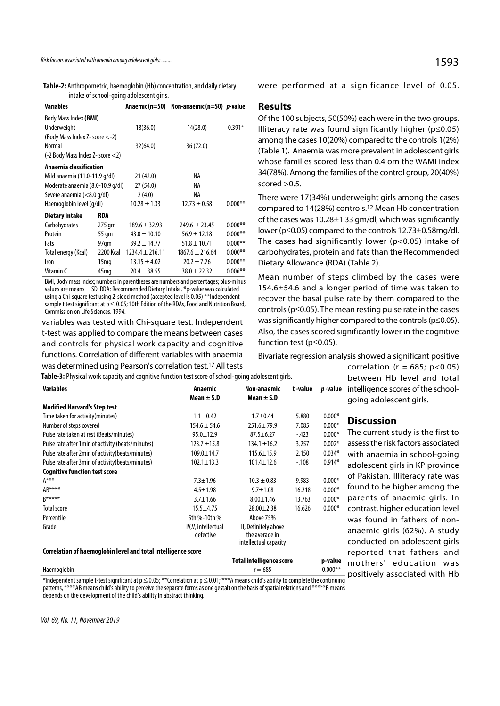Table-2: Anthropometric, haemoglobin (Hb) concentration, and daily dietary intake of school-going adolescent girls.

| lisk factors associated with anemia among adolescent girls:                                                                 |                                                             |                                                            |                                     |
|-----------------------------------------------------------------------------------------------------------------------------|-------------------------------------------------------------|------------------------------------------------------------|-------------------------------------|
| Table-2: Anthropometric, haemoglobin (Hb) concentration, and daily dietary<br>intake of school-going adolescent girls.      |                                                             |                                                            |                                     |
| <b>Variables</b>                                                                                                            | Anaemic (n=50)                                              | Non-anaemic (n=50) p-value                                 |                                     |
| Body Mass Index (BMI)<br>Underweight<br>(Body Mass Index Z- score <-2)<br><b>Normal</b><br>(-2 Body Mass Index Z- score <2) | 18(36.0)<br>32(64.0)                                        | 14(28.0)<br>36(72.0)                                       | $0.391*$                            |
| Anaemia classification<br>Mild anaemia (11.0-11.9 g/dl)<br>Moderate anaemia (8.0-10.9 g/dl)                                 | 21(42.0)<br>27 (54.0)                                       | NA<br>NA                                                   |                                     |
| Severe anaemia (<8.0 g/dl)<br>Haemoglobin level (g/dl)                                                                      | 2(4.0)<br>$10.28 \pm 1.33$                                  | NA<br>$12.73 \pm 0.58$                                     | $0.000**$                           |
| <b>Dietary intake</b><br><b>RDA</b><br>Carbohydrates<br>275 gm<br>Protein<br>55 gm<br>97qm<br>Fats                          | $189.6 \pm 32.93$<br>$43.0 \pm 10.10$<br>$39.2 \pm 14.77$   | $249.6 \pm 23.45$<br>$56.9 \pm 12.18$<br>$51.8 \pm 10.71$  | $0.000**$<br>$0.000**$<br>$0.000**$ |
| 2200 Kcal<br>Total energy (Kcal)<br>15 <sub>mq</sub><br>Iron<br>Vitamin C<br>45 <sub>mq</sub>                               | $1234.4 \pm 216.11$<br>$13.15 \pm 4.02$<br>$20.4 \pm 38.55$ | $1867.6 \pm 216.64$<br>$20.2 \pm 7.76$<br>$38.0 \pm 22.32$ | $0.000**$<br>$0.000**$<br>$0.006**$ |

BMI, Body mass index; numbers in parentheses are numbers and percentages; plus-minus values are means ± SD. RDA: Recommended Dietary Intake. \*p-value was calculated using a Chi-square test using 2-sided method (accepted level is 0.05) \*\*Independent sample t test significant at  $p \leq 0.05$ ; 10th Edition of the RDAs, Food and Nutrition Board, Commission on Life Sciences. 1994.

variables was tested with Chi-square test. Independent t-test was applied to compare the means between cases and controls for physical work capacity and cognitive functions. Correlation of different variables with anaemia was determined using Pearson's correlation test.17 All tests were performed at a significance level of 0.05.

## Results

Of the 100 subjects, 50(50%) each were in the two groups. Illiteracy rate was found significantly higher ( $p \le 0.05$ ) among the cases 10(20%) compared to the controls 1(2%) (Table 1). Anaemia was more prevalent in adolescent girls whose families scored less than 0.4 om the WAMI index 34(78%). Among the families of the control group, 20(40%) scored  $>0.5$ .

There were 17(34%) underweight girls among the cases compared to 14(28%) controls.12 Mean Hb concentration of the cases was 10.28±1.33 gm/dl, which was significantly lower ( $p \le 0.05$ ) compared to the controls 12.73 $\pm$ 0.58mg/dl. The cases had significantly lower (p<0.05) intake of carbohydrates, protein and fats than the Recommended Dietary Allowance (RDA) (Table 2).

Mean number of steps climbed by the cases were 154.6±54.6 and a longer period of time was taken to recover the basal pulse rate by them compared to the controls ( $p \leq 0.05$ ). The mean resting pulse rate in the cases was significantly higher compared to the controls ( $p\leq 0.05$ ). Also, the cases scored significantly lower in the cognitive function test ( $p \le 0.05$ ).

Bivariate regression analysis showed a significant positive

Variables **Anaemic** Mon-anaemic t-value p-value  $Mean \pm S.D$  Mean  $\pm$  S.D Table-3: Physical work capacity and cognitive function test score of school-going adolescent girls.

Time taken for activity(minutes)  $1.1 \pm 0.42$   $1.7 \pm 0.44$   $5.880$   $0.000*$ <br>
Number of steps covered  $154.6 \pm 54.6$   $251.6 \pm 79.9$   $7.085$   $0.000*$ 

Pulse rate taken at rest (Beats/minutes) 95.0±12.9 87.5±6.27 -.423 0.000\* Pulse rate after 1min of activity (beats/minutes)  $123.7 \pm 15.8$   $134.1 \pm 16.2$   $3.257$   $0.002*$ Pulse rate after 2min of activity(beats/minutes) 109.0±14.7 115.6±15.9 2.150 0.034\*

 $A^{***}$  7.3±1.96 10.3 ± 0.83 9.983 0.000\*  $AB^{***}$  4.5±1.98 9.7±1.08 16.218 0.000\*  $B^{*****}$  3.7 $\pm$ 1.66 8.00 $\pm$ 1.46 13.763 0.000\* Total score 15.5 $\pm$ 4.75 28.00 $\pm$ 2.38 16.626 0.000\*

correlation ( $r = .685$ ;  $p < 0.05$ ) between Hb level and total  $\mathbf p$ -value intelligence scores of the schoolgoing adolescent girls.

## **Discussion**

The current study is the first to assess the risk factors associated with anaemia in school-going adolescent girls in KP province of Pakistan. Illiteracy rate was found to be higher among the parents of anaemic girls. In contrast, higher education level was found in fathers of nonanaemic girls (62%). A study conducted on adolescent girls reported that fathers and adolescent gins in KP province<br>of Pakistan. Illiteracy rate was<br>found to be higher among the<br>parents of anaemic girls. In<br>contrast, higher education level<br>was found in fathers of non-<br>anaemic girls (62%). A study<br>conducted positively associated with Hb

| Grade                                                         | IV.V. intellectual<br>defective | II, Definitely above<br>the average in<br>intellectual capacity |
|---------------------------------------------------------------|---------------------------------|-----------------------------------------------------------------|
| Correlation of haemoglobin level and total intelligence score |                                 | <b>Total intelligence scc</b>                                   |

Percentile 5th %-10th % Above 75%

Pulse rate after 3min of activity(beats/minutes)  $102.1 \pm 13.3$ 

ntelligence score p-value Haemoglobin  $r = .685$  0.000 $**$ 

\*Independent sample t-test significant at  $p \le 0.05$ ; \*\*Correlation at  $p \le 0.01$ ; \*\*\*A means child's ability to complete the continuing patterns, \*\*\*\*AB means child's ability to perceive the separate forms as one gestalt on the basis of spatial relations and \*\*\*\*\*B means depends on the development of the child's ability in abstract thinking.

Vol. 69, No. 11, November 2019

Modified Harvard's Step test

Cognitive function test score

Number of steps covered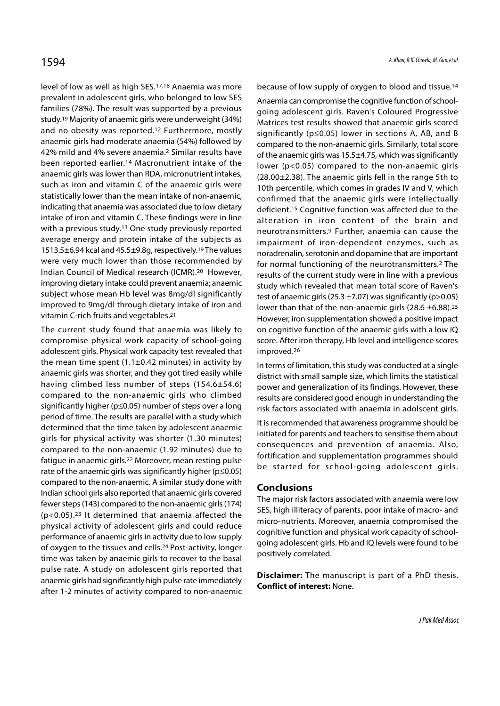level of low as well as high SES.17,18 Anaemia was more prevalent in adolescent girls, who belonged to low SES families (78%). The result was supported by a previous study.19 Majority of anaemic girls were underweight (34%) and no obesity was reported.12 Furthermore, mostly anaemic girls had moderate anaemia (54%) followed by 42% mild and 4% severe anaemia.2 Similar results have been reported earlier.14 Macronutrient intake of the anaemic girls was lower than RDA, micronutrient intakes, such as iron and vitamin C of the anaemic girls were statistically lower than the mean intake of non-anaemic, indicating that anaemia was associated due to low dietary intake of iron and vitamin C. These findings were in line with a previous study.<sup>13</sup> One study previously reported average energy and protein intake of the subjects as 1513.5±6.94 kcal and 45.5±9.8g, respectively.19 The values were very much lower than those recommended by Indian Council of Medical research (ICMR).20 However, improving dietary intake could prevent anaemia; anaemic subject whose mean Hb level was 8mg/dl significantly improved to 9mg/dl through dietary intake of iron and vitamin C-rich fruits and vegetables.21

The current study found that anaemia was likely to compromise physical work capacity of school-going adolescent girls. Physical work capacity test revealed that the mean time spent  $(1.1\pm0.42$  minutes) in activity by anaemic girls was shorter, and they got tired easily while having climbed less number of steps (154.6±54.6) compared to the non-anaemic girls who climbed significantly higher ( $p \le 0.05$ ) number of steps over a long period of time. The results are parallel with a study which determined that the time taken by adolescent anaemic girls for physical activity was shorter (1.30 minutes) compared to the non-anaemic (1.92 minutes) due to fatigue in anaemic girls.<sup>22</sup> Moreover, mean resting pulse<br>the anaemic girls. was eigenficantly higher (a COOC) be started for school-going adolescent girls. rate of the anaemic girls was significantly higher ( $p \le 0.05$ ) compared to the non-anaemic. A similar study done with Indian school girls also reported that anaemic girls covered fewer steps (143) compared to the non-anaemic girls (174) (p<0.05).23 It determined that anaemia affected the physical activity of adolescent girls and could reduce performance of anaemic girls in activity due to low supply of oxygen to the tissues and cells.24 Post-activity, longer time was taken by anaemic girls to recover to the basal pulse rate. A study on adolescent girls reported that anaemic girls had significantly high pulse rate immediately after 1-2 minutes of activity compared to non-anaemic

because of low supply of oxygen to blood and tissue.14

Anaemia can compromise the cognitive function of schoolgoing adolescent girls. Raven's Coloured Progressive Matrices test results showed that anaemic girls scored significantly ( $p \le 0.05$ ) lower in sections A, AB, and B compared to the non-anaemic girls. Similarly, total score of the anaemic girls was 15.5±4.75, which was significantly lower (p<0.05) compared to the non-anaemic girls (28.00±2.38). The anaemic girls fell in the range 5th to 10th percentile, which comes in grades IV and V, which confirmed that the anaemic girls were intellectually deficient.15 Cognitive function was affected due to the alteration in iron content of the brain and neurotransmitters.9 Further, anaemia can cause the impairment of iron-dependent enzymes, such as noradrenalin, serotonin and dopamine that are important for normal functioning of the neurotransmitters.2 The results of the current study were in line with a previous study which revealed that mean total score of Raven's test of anaemic girls (25.3  $\pm$ 7.07) was significantly (p>0.05) lower than that of the non-anaemic girls (28.6  $\pm$ 6.88).<sup>25</sup> However, iron supplementation showed a positive impact on cognitive function of the anaemic girls with a low IQ score. After iron therapy, Hb level and intelligence scores improved.26

In terms of limitation, this study was conducted at a single district with small sample size, which limits the statistical power and generalization of its findings. However, these results are considered good enough in understanding the risk factors associated with anaemia in adolscent girls.

It is recommended that awareness programme should be initiated for parents and teachers to sensitise them about consequences and prevention of anaemia. Also, fortification and supplementation programmes should district with small sample size, which limits the statistical<br>power and generalization of its findings. However, these<br>results are considered good enough in understanding the<br>risk factors associated with anaemia in adolsce

## Conclusions

The major risk factors associated with anaemia were low SES, high illiteracy of parents, poor intake of macro- and micro-nutrients. Moreover, anaemia compromised the cognitive function and physical work capacity of schoolgoing adolescent girls. Hb and IQ levels were found to be positively correlated.

Disclaimer: The manuscript is part of a PhD thesis. Conflict of interest: None.